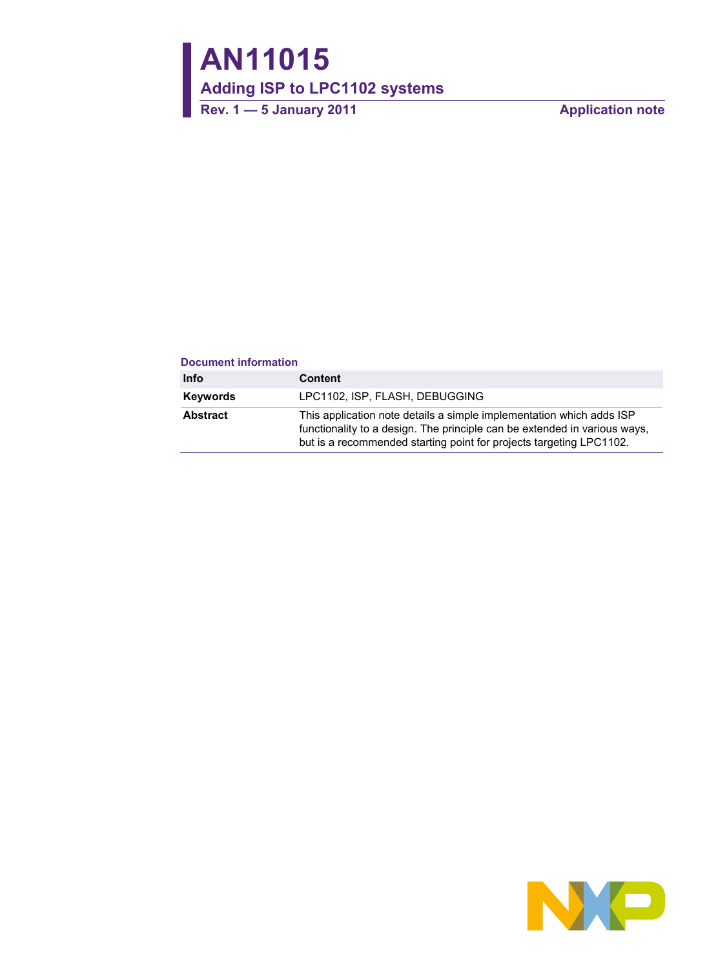**AN11015**

**Adding ISP to LPC1102 systems** 

Rev. 1 — 5 January 2011 **Application note** 

#### **Document information**

| Info     | <b>Content</b>                                                                                                                                                                                                           |
|----------|--------------------------------------------------------------------------------------------------------------------------------------------------------------------------------------------------------------------------|
| Keywords | LPC1102, ISP, FLASH, DEBUGGING                                                                                                                                                                                           |
| Abstract | This application note details a simple implementation which adds ISP<br>functionality to a design. The principle can be extended in various ways,<br>but is a recommended starting point for projects targeting LPC1102. |

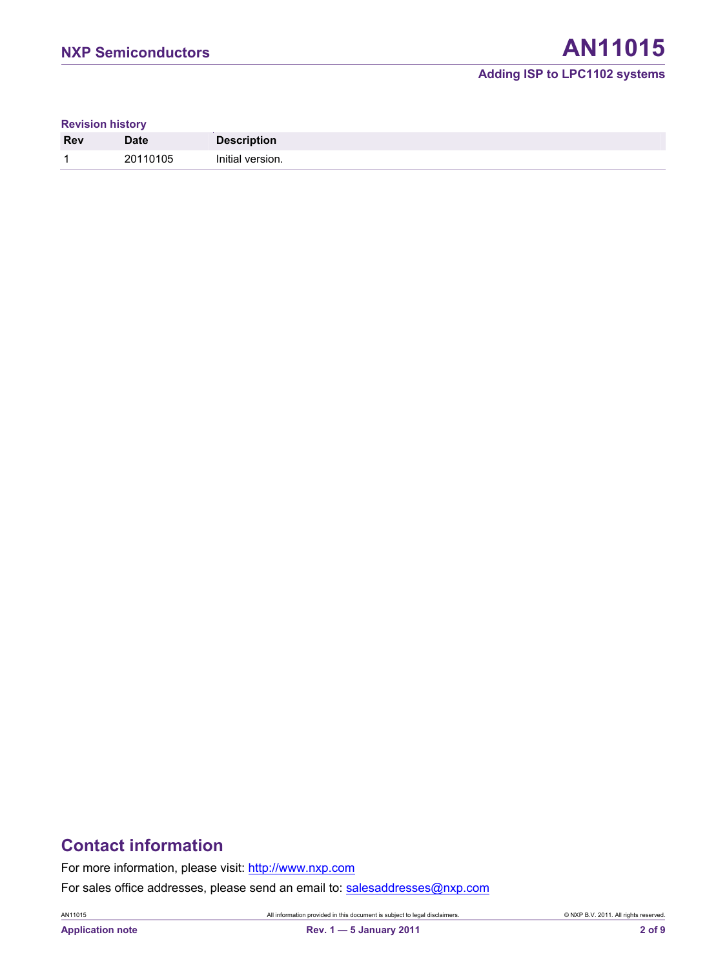## **Adding ISP to LPC1102 systems**

**Revision history** 

| <b>Rev</b> | <b>Date</b>    | <b>Description</b> |
|------------|----------------|--------------------|
|            | 20110105<br>∠∪ | Initial version.   |

## **Contact information**

For more information, please visit: http://www.nxp.com For sales office addresses, please send an email to: salesaddresses@nxp.com

AN11015 All information provided in this document is subject to legal disclaimers. © NXP B.V. 2011. All rights reserved.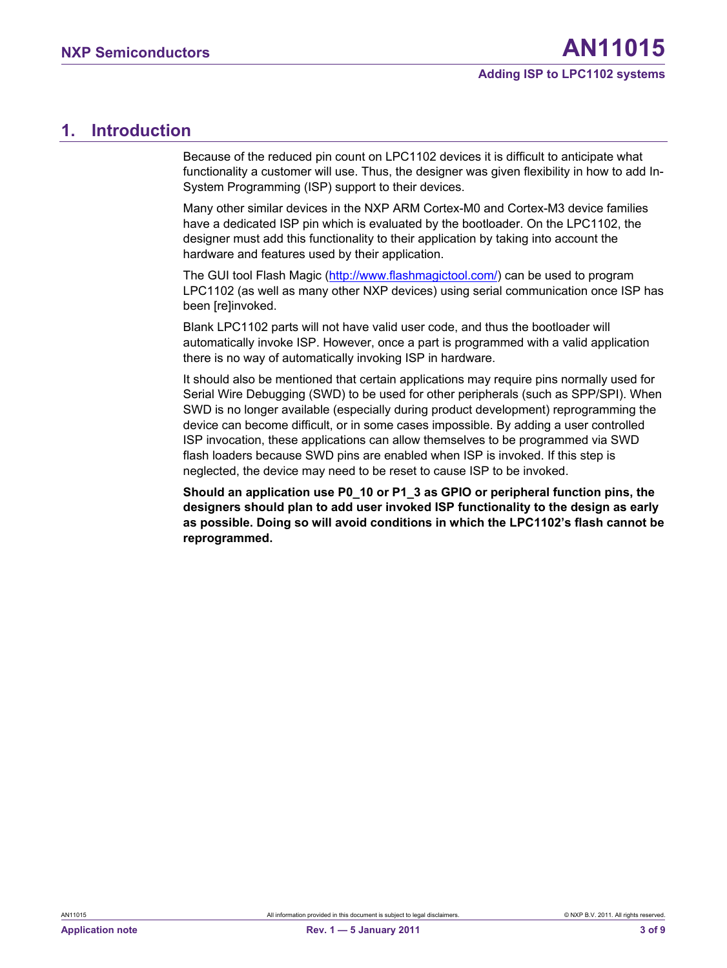## <span id="page-2-0"></span>**1. Introduction**

Because of the reduced pin count on LPC1102 devices it is difficult to anticipate what functionality a customer will use. Thus, the designer was given flexibility in how to add In-System Programming (ISP) support to their devices.

Many other similar devices in the NXP ARM Cortex-M0 and Cortex-M3 device families have a dedicated ISP pin which is evaluated by the bootloader. On the LPC1102, the designer must add this functionality to their application by taking into account the hardware and features used by their application.

The GUI tool Flash Magic (http://www.flashmagictool.com/) can be used to program LPC1102 (as well as many other NXP devices) using serial communication once ISP has been [re]invoked.

Blank LPC1102 parts will not have valid user code, and thus the bootloader will automatically invoke ISP. However, once a part is programmed with a valid application there is no way of automatically invoking ISP in hardware.

It should also be mentioned that certain applications may require pins normally used for Serial Wire Debugging (SWD) to be used for other peripherals (such as SPP/SPI). When SWD is no longer available (especially during product development) reprogramming the device can become difficult, or in some cases impossible. By adding a user controlled ISP invocation, these applications can allow themselves to be programmed via SWD flash loaders because SWD pins are enabled when ISP is invoked. If this step is neglected, the device may need to be reset to cause ISP to be invoked.

**Should an application use P0\_10 or P1\_3 as GPIO or peripheral function pins, the designers should plan to add user invoked ISP functionality to the design as early as possible. Doing so will avoid conditions in which the LPC1102's flash cannot be reprogrammed.**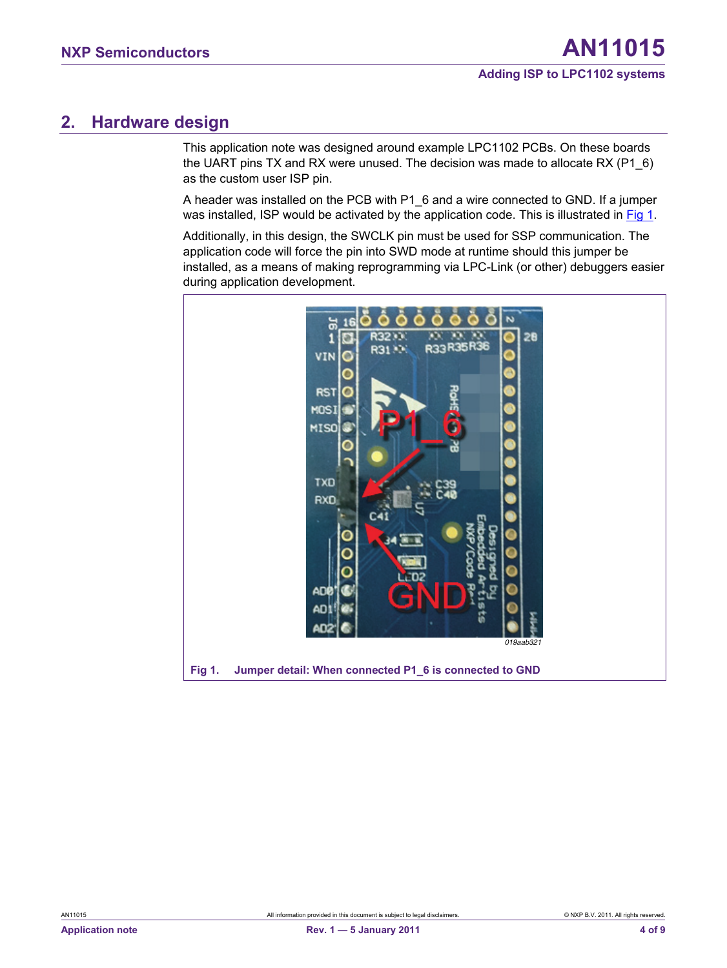## <span id="page-3-1"></span>**2. Hardware design**

This application note was designed around example LPC1102 PCBs. On these boards the UART pins TX and RX were unused. The decision was made to allocate RX (P1\_6) as the custom user ISP pin.

A header was installed on the PCB with P1\_6 and a wire connected to GND. If a jumper was installed, ISP would be activated by the application code. This is illustrated in [Fig 1](#page-3-0).

Additionally, in this design, the SWCLK pin must be used for SSP communication. The application code will force the pin into SWD mode at runtime should this jumper be installed, as a means of making reprogramming via LPC-Link (or other) debuggers easier during application development.

<span id="page-3-0"></span>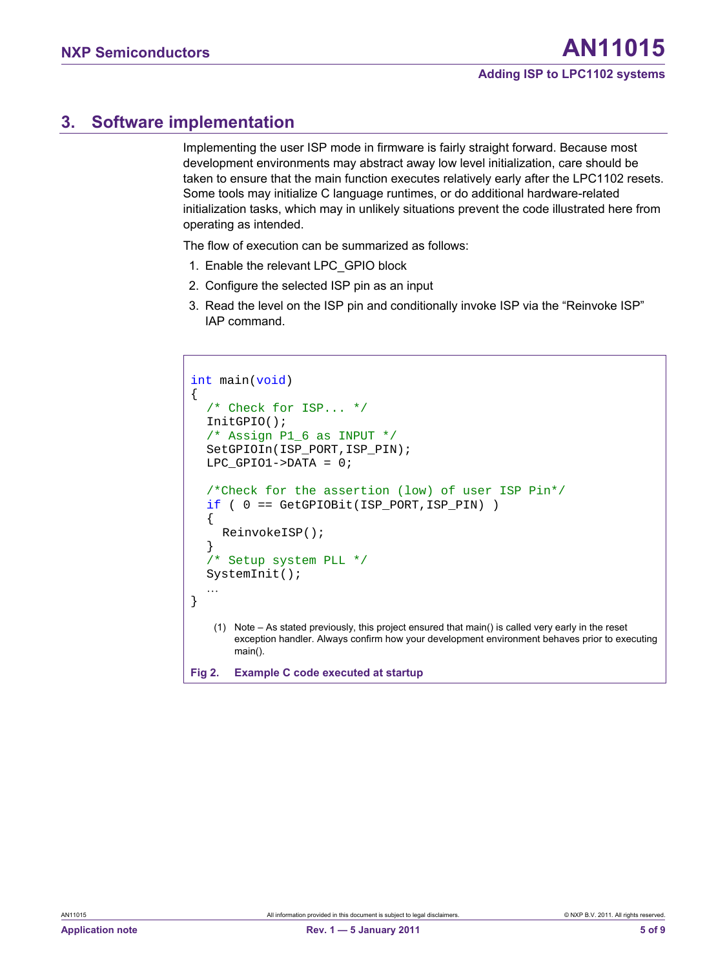## <span id="page-4-0"></span>**3. Software implementation**

Implementing the user ISP mode in firmware is fairly straight forward. Because most development environments may abstract away low level initialization, care should be taken to ensure that the main function executes relatively early after the LPC1102 resets. Some tools may initialize C language runtimes, or do additional hardware-related initialization tasks, which may in unlikely situations prevent the code illustrated here from operating as intended.

The flow of execution can be summarized as follows:

- 1. Enable the relevant LPC\_GPIO block
- 2. Configure the selected ISP pin as an input
- 3. Read the level on the ISP pin and conditionally invoke ISP via the "Reinvoke ISP" IAP command.

```
int main(void) 
{ 
  /* Check for ISP... */ 
   InitGPIO(); 
  /* Assign P1 6 as INPUT */ SetGPIOIn(ISP_PORT,ISP_PIN); 
   LPC_GPIO1->DATA = 0; 
  /*Check for the assertion (low) of user ISP Pin*/ 
  if ( 0 == GetGPIOBit(ISP_PORT,ISP_PIN) ) 
   { 
      ReinvokeISP(); 
   } 
  /* Setup system PLL */
   SystemInit(); 
   … 
} 
    (1) Note – As stated previously, this project ensured that main() is called very early in the reset 
       exception handler. Always confirm how your development environment behaves prior to executing 
       main(). 
Fig 2. Example C code executed at startup
```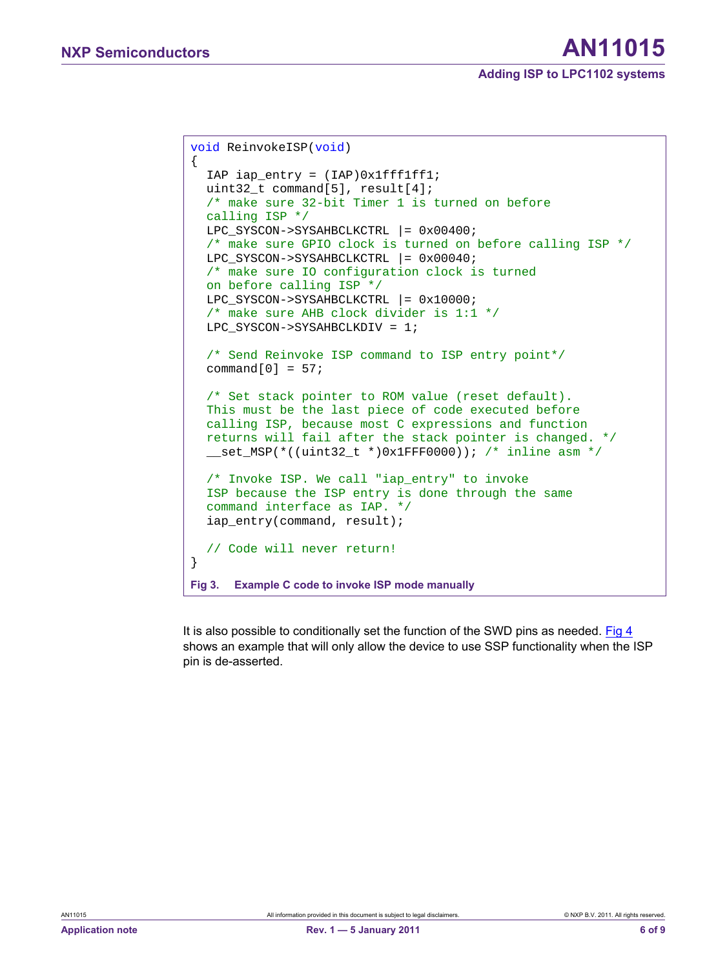# NXP Semiconductors **AN11015**

```
void ReinvokeISP(void) 
{ 
   IAP iap_entry = (IAP)0x1fff1ff1; 
   uint32_t command[5], result[4]; 
  /* make sure 32-bit Timer 1 is turned on before 
  calling ISP */ 
   LPC_SYSCON->SYSAHBCLKCTRL |= 0x00400; 
  /* make sure GPIO clock is turned on before calling ISP */ 
  LPC SYSCON->SYSAHBCLKCTRL |= 0x00040;
  /* make sure IO configuration clock is turned 
  on before calling ISP */ 
  LPC SYSCON->SYSAHBCLKCTRL |= 0x10000;/* make sure AHB clock divider is 1:1 */ 
   LPC_SYSCON->SYSAHBCLKDIV = 1; 
  /* Send Reinvoke ISP command to ISP entry point*/ 
  command[0] = 57;
  /* Set stack pointer to ROM value (reset default). 
  This must be the last piece of code executed before 
  calling ISP, because most C expressions and function 
  returns will fail after the stack pointer is changed. */
   __set_MSP(*((uint32_t *)0x1FFF0000)); /* inline asm */ 
  /* Invoke ISP. We call "iap entry" to invoke
  ISP because the ISP entry is done through the same 
  command interface as IAP. */ 
   iap_entry(command, result); 
  // Code will never return! 
}
Fig 3. Example C code to invoke ISP mode manually
```
It is also possible to conditionally set the function of the SWD pins as needed. [Fig 4](#page-6-0) shows an example that will only allow the device to use SSP functionality when the ISP pin is de-asserted.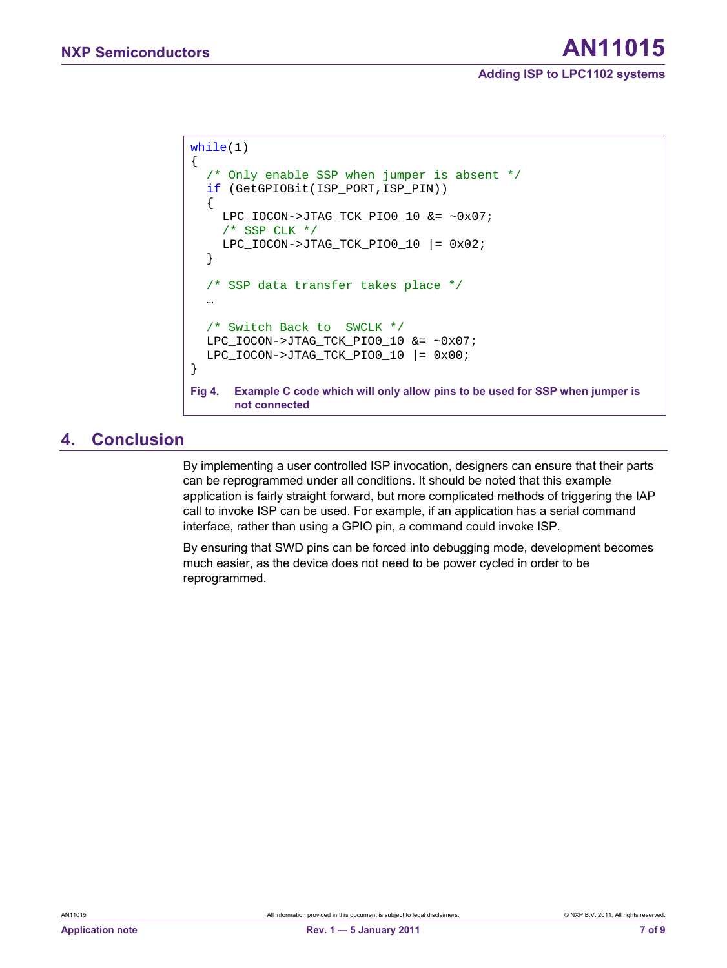```
while(1) 
{ 
  /* Only enable SSP when jumper is absent */ 
  if (GetGPIOBit(ISP_PORT,ISP_PIN)) 
   { 
     LPC_IOCON->JTAG_TCK_PIO0_10 &= ~0x07; 
     /* SSP CLK */ LPC_IOCON->JTAG_TCK_PIO0_10 |= 0x02; 
   } 
  /* SSP data transfer takes place */ 
   … 
  /* Switch Back to SWCLK */ 
   LPC_IOCON->JTAG_TCK_PIO0_10 &= ~0x07; 
  LPC\_IOCON->JTAG_TCK_PIO0_10 |= 0x00;} 
Fig 4. Example C code which will only allow pins to be used for SSP when jumper is 
      not connected
```
## <span id="page-6-0"></span>**4. Conclusion**

By implementing a user controlled ISP invocation, designers can ensure that their parts can be reprogrammed under all conditions. It should be noted that this example application is fairly straight forward, but more complicated methods of triggering the IAP call to invoke ISP can be used. For example, if an application has a serial command interface, rather than using a GPIO pin, a command could invoke ISP.

By ensuring that SWD pins can be forced into debugging mode, development becomes much easier, as the device does not need to be power cycled in order to be reprogrammed.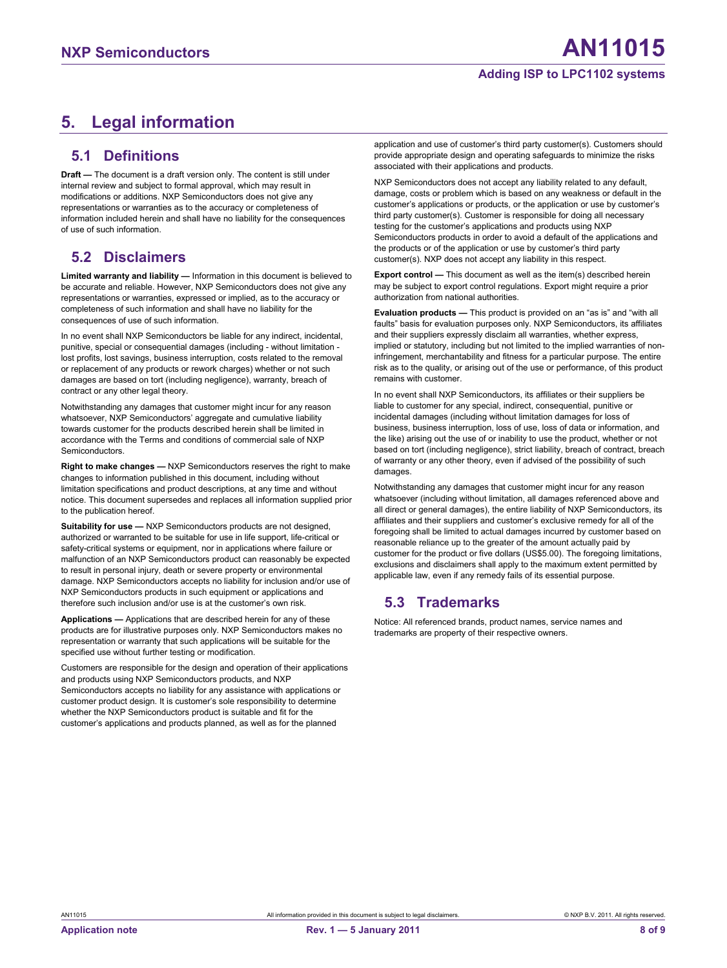#### **Adding ISP to LPC1102 systems**

## <span id="page-7-0"></span>**5. Legal information**

#### **5.1 Definitions**

**Draft —** The document is a draft version only. The content is still under internal review and subject to formal approval, which may result in modifications or additions. NXP Semiconductors does not give any representations or warranties as to the accuracy or completeness of information included herein and shall have no liability for the consequences of use of such information.

#### **5.2 Disclaimers**

**Limited warranty and liability —** Information in this document is believed to be accurate and reliable. However, NXP Semiconductors does not give any representations or warranties, expressed or implied, as to the accuracy or completeness of such information and shall have no liability for the consequences of use of such information.

In no event shall NXP Semiconductors be liable for any indirect, incidental, punitive, special or consequential damages (including - without limitation lost profits, lost savings, business interruption, costs related to the removal or replacement of any products or rework charges) whether or not such damages are based on tort (including negligence), warranty, breach of contract or any other legal theory.

Notwithstanding any damages that customer might incur for any reason whatsoever, NXP Semiconductors' aggregate and cumulative liability towards customer for the products described herein shall be limited in accordance with the Terms and conditions of commercial sale of NXP **Semiconductors** 

**Right to make changes —** NXP Semiconductors reserves the right to make changes to information published in this document, including without limitation specifications and product descriptions, at any time and without notice. This document supersedes and replaces all information supplied prior to the publication hereof.

**Suitability for use —** NXP Semiconductors products are not designed, authorized or warranted to be suitable for use in life support, life-critical or safety-critical systems or equipment, nor in applications where failure or malfunction of an NXP Semiconductors product can reasonably be expected to result in personal injury, death or severe property or environmental damage. NXP Semiconductors accepts no liability for inclusion and/or use of NXP Semiconductors products in such equipment or applications and therefore such inclusion and/or use is at the customer's own risk.

**Applications —** Applications that are described herein for any of these products are for illustrative purposes only. NXP Semiconductors makes no representation or warranty that such applications will be suitable for the specified use without further testing or modification.

Customers are responsible for the design and operation of their applications and products using NXP Semiconductors products, and NXP Semiconductors accepts no liability for any assistance with applications or customer product design. It is customer's sole responsibility to determine whether the NXP Semiconductors product is suitable and fit for the customer's applications and products planned, as well as for the planned

application and use of customer's third party customer(s). Customers should provide appropriate design and operating safeguards to minimize the risks associated with their applications and products.

NXP Semiconductors does not accept any liability related to any default, damage, costs or problem which is based on any weakness or default in the customer's applications or products, or the application or use by customer's third party customer(s). Customer is responsible for doing all necessary testing for the customer's applications and products using NXP Semiconductors products in order to avoid a default of the applications and the products or of the application or use by customer's third party customer(s). NXP does not accept any liability in this respect.

**Export control —** This document as well as the item(s) described herein may be subject to export control regulations. Export might require a prior authorization from national authorities.

**Evaluation products —** This product is provided on an "as is" and "with all faults" basis for evaluation purposes only. NXP Semiconductors, its affiliates and their suppliers expressly disclaim all warranties, whether express, implied or statutory, including but not limited to the implied warranties of noninfringement, merchantability and fitness for a particular purpose. The entire risk as to the quality, or arising out of the use or performance, of this product remains with customer.

In no event shall NXP Semiconductors, its affiliates or their suppliers be liable to customer for any special, indirect, consequential, punitive or incidental damages (including without limitation damages for loss of business, business interruption, loss of use, loss of data or information, and the like) arising out the use of or inability to use the product, whether or not based on tort (including negligence), strict liability, breach of contract, breach of warranty or any other theory, even if advised of the possibility of such damages.

Notwithstanding any damages that customer might incur for any reason whatsoever (including without limitation, all damages referenced above and all direct or general damages), the entire liability of NXP Semiconductors, its affiliates and their suppliers and customer's exclusive remedy for all of the foregoing shall be limited to actual damages incurred by customer based on reasonable reliance up to the greater of the amount actually paid by customer for the product or five dollars (US\$5.00). The foregoing limitations, exclusions and disclaimers shall apply to the maximum extent permitted by applicable law, even if any remedy fails of its essential purpose.

#### **5.3 Trademarks**

Notice: All referenced brands, product names, service names and trademarks are property of their respective owners.